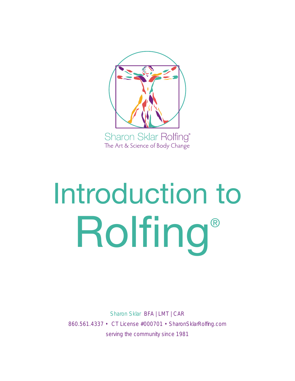

# Introduction to Rolfing®

Sharon Sklar BFA | LMT | CAR 860.561.4337 • CT License #000701 • SharonSklarRolfing.com serving the community since 1981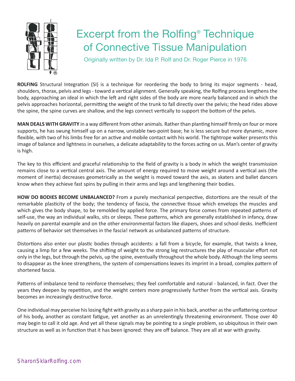

# Excerpt from the Rolfing® Technique of Connective Tissue Manipulation

Originally written by Dr. Ida P. Rolf and Dr. Roger Pierce in 1976

**ROLFING** Structural Integration (SI) is a technique for reordering the body to bring its major segments - head, shoulders, thorax, pelvis and legs - toward a vertical alignment. Generally speaking, the Rolfing process lengthens the body, approaching an ideal in which the left and right sides of the body are more nearly balanced and in which the pelvis approaches horizontal, permitting the weight of the trunk to fall directly over the pelvis; the head rides above the spine, the spine curves are shallow, and the legs connect vertically to support the bottom of the pelvis.

**MAN DEALS WITH GRAVITY** in a way different from other animals. Rather than planting himself firmly on four or more supports, he has swung himself up on a narrow, unstable two-point base; he is less secure but more dynamic, more flexible, with two of his limbs free for an active and mobile contact with his world. The tightrope walker presents this image of balance and lightness in ourselves, a delicate adaptability to the forces acting on us. Man's center of gravity is high.

The key to this efficient and graceful relationship to the field of gravity is a body in which the weight transmission remains close to a vertical central axis. The amount of energy required to move weight around a vertical axis (the moment of inertia) decreases geometrically as the weight is moved toward the axis, as skaters and ballet dancers know when they achieve fast spins by pulling in their arms and legs and lengthening their bodies.

**HOW DO BODIES BECOME UNBALANCED?** From a purely mechanical perspective, distortions are the result of the remarkable plasticity of the body; the tendency of fascia, the connective tissue which envelops the muscles and which gives the body shape, to be remolded by applied force. The primary force comes from repeated patterns of self-use, the way an individual walks, sits or sleeps. These patterns, which are generally established in infancy, draw heavily on parental example and on the other environmental factors like diapers, shoes and school desks. Inefficient patterns of behavior set themselves in the fascia! network as unbalanced patterns of structure.

Distortions also enter our plastic bodies through accidents: a fall from a bicycle, for example, that twists a knee, causing a limp for a few weeks. The shifting of weight to the strong leg restructures the play of muscular effort not only in the legs, but through the pelvis, up the spine, eventually throughout the whole body. Although the limp seems to disappear as the knee strengthens, the system of compensations leaves its imprint in a broad, complex pattern of shortened fascia.

Patterns of imbalance tend to reinforce themselves; they feel comfortable and natural - balanced, in fact. Over the years they deepen by repetition, and the weight centers more progressively further from the vertical axis. Gravity becomes an increasingly destructive force.

One individual may perceive his losing fight with gravity as a sharp pain in his back, another as the unflattering contour of his body, another as constant fatigue, yet another as an unrelentingly threatening environment. Those over 40 may begin to call it old age. And yet all these signals may be pointing to a single problem, so ubiquitous in their own structure as well as in function that it has been ignored: they are off balance. They are all at war with gravity.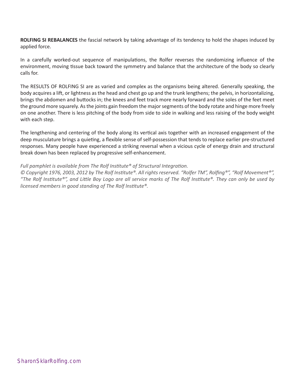**ROLFING SI REBALANCES** the fascial network by taking advantage of its tendency to hold the shapes induced by applied force.

In a carefully worked-out sequence of manipulations, the Rolfer reverses the randomizing influence of the environment, moving tissue back toward the symmetry and balance that the architecture of the body so clearly calls for.

The RESULTS OF ROLFING SI are as varied and complex as the organisms being altered. Generally speaking, the body acquires a lift, or lightness as the head and chest go up and the trunk lengthens; the pelvis, in horizontalizing, brings the abdomen and buttocks in; the knees and feet track more nearly forward and the soles of the feet meet the ground more squarely. As the joints gain freedom the major segments of the body rotate and hinge more freely on one another. There is less pitching of the body from side to side in walking and less raising of the body weight with each step.

The lengthening and centering of the body along its vertical axis together with an increased engagement of the deep musculature brings a quieting, a flexible sense of self-possession that tends to replace earlier pre-structured responses. Many people have experienced a striking reversal when a vicious cycle of energy drain and structural break down has been replaced by progressive self-enhancement.

#### *Full pamphlet is available from The Rolf Institute® of Structural Integration.*

*© Copyright 1976, 2003, 2012 by The Rolf Institute®. All rights reserved. "Rolfer TM", Rolfing®", "Rolf Movement®", "The Rolf Institute®", and Little Boy Logo are all service marks of The Rolf Institute®. They can only be used by licensed members in good standing of The Rolf lnstitute®.*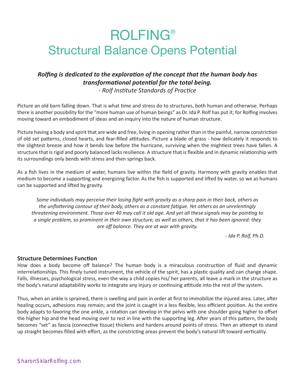# ROLFING® Structural Balance Opens Potential

## *Rolfing is dedicated to the exploration of the concept that the human body has transformational potential for the total being.*

*- Rolf Institute Standards of Practice*

Picture an old barn falling down. That is what time and stress do to structures, both human and otherwise. Perhaps there is another possibility for the "more human use of human beings" as Dr. Ida P. Rolf has put it; for Rolfing involves moving toward an embodiment of ideas and an inquiry into the nature of human structure.

Picture having a body and spirit that are wide and free, living in opening rather than in the painful, narrow constriction of old set patterns, closed hearts, and fear-filled attitudes. Picture a blade of grass - how delicately it responds to the slightest breeze and how it bends low before the hurricane, surviving when the mightiest trees have fallen. A structure that is rigid and poorly balanced lacks resilience. A structure that is flexible and in dynamic relationship with its surroundings only bends with stress and then springs back.

As a fish lives in the medium of water, humans live within the field of gravity. Harmony with gravity enables that medium to become a supporting and energizing factor. As the fish is supported and lifted by water, so we as humans can be supported and lifted by gravity.

*Some individuals may perceive their losing fight with gravity as a sharp pain in their back, others as the unflattering contour of their body, others as a constant fatigue. Yet others as an unrelentingly threatening environment. Those over 40 may call it old age. And yet all these signals may be pointing to a single problem, so prominent in their own structure, as well as others, that it has been ignored: they are off balance. They are at war with gravity.* 

*- Ida P. Rolf, Ph.D.*

## **Structure Determines Function**

How does a body become off balance? The human body is a miraculous construction of fluid and dynamic interrelationships. This finely tuned instrument, the vehicle of the spirit, has a plastic quality and can change shape. Falls, illnesses, psychological stress, even the way a child copies his/ her parents, all leave a mark in the structure as the body's natural adaptability works to integrate any injury or continuing attitude into the rest of the system.

Thus, when an ankle is sprained, there is swelling and pain in order at first to immobilize the injured area. Later, after healing occurs, adhesions may remain; and the joint is caught in a less flexible, less efficient position. As the entire body adapts to favoring the one ankle, a rotation can develop in the pelvis with one shoulder going higher to offset the higher hip and the head moving over to rest in line with the supporting leg. After years of this pattern, the body becomes "set" as fascia (connective tissue) thickens and hardens around points of stress. Then an attempt to stand up straight becomes filled with effort, as the constricting areas prevent the body's natural lift toward verticality.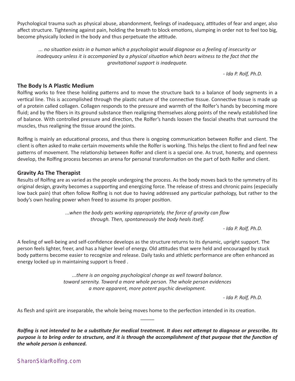SharonSklarRolfing.com

Psychological trauma such as physical abuse, abandonment, feelings of inadequacy, attitudes of fear and anger, also affect structure. Tightening against pain, holding the breath to block emotions, slumping in order not to feel too big, become physically locked in the body and thus perpetuate the attitude.

*... no situation exists in a human which a psychologist would diagnose as a feeling of insecurity or inadequacy unless it is accompanied by a physical situation which bears witness to the fact that the gravitational support is inadequate.*

*- Ida P. Rolf, Ph.D.*

## **The Body Is A Plastic Medium**

Rolfing works to free these holding patterns and to move the structure back to a balance of body segments in a vertical line. This is accomplished through the plastic nature of the connective tissue. Connective tissue is made up of a protein called collagen. Collagen responds to the pressure and warmth of the Rolfer's hands by becoming more fluid; and by the fibers in its ground substance then realigning themselves along points of the newly established line of balance. With controlled pressure and direction, the Rolfer's hands loosen the fascial sheaths that surround the muscles, thus realigning the tissue around the joints.

Rolfing is mainly an educational process, and thus there is ongoing communication between Rolfer and client. The client is often asked to make certain movements while the Rolfer is working. This helps the client to find and feel new patterns of movement. The relationship between Rolfer and client is a special one. As trust, honesty, and openness develop, the Rolfing process becomes an arena for personal transformation on the part of both Rolfer and client.

## **Gravity As The Therapist**

Results of Rolfing are as varied as the people undergoing the process. As the body moves back to the symmetry of its original design, gravity becomes a supporting and energizing force. The release of stress and chronic pains (especially low back pain) that often follow Rolfing is not due to having addressed any particular pathology, but rather to the body's own healing power when freed to assume its proper position.

> *...when the body gets working appropriately, the force of gravity can flow through. Then, spontaneously the body heals itself.*

> > *- Ida P. Rolf, Ph.D.*

A feeling of well-being and self-confidence develops as the structure returns to its dynamic, upright support. The person feels lighter, freer, and has a higher level of energy. Old attitudes that were held and encouraged by stuck body patterns become easier to recognize and release. Daily tasks and athletic performance are often enhanced as energy locked up in maintaining support is freed .

> *...there is an ongoing psychological change as well toward balance. toward serenity. Toward a more whole person. The whole person evidences a more apparent, more potent psychic development.*

> > *- Ida P. Rolf, Ph.D.*

As flesh and spirit are inseparable, the whole being moves home to the perfection intended in its creation.

*Rolfing is not intended to be a substitute for medical treatment. It does not attempt to diagnose or prescribe. Its*  purpose is to bring order to structure, and it is through the accomplishment of that purpose that the function of *the whole person is enhanced.*

 $\overline{\phantom{a}}$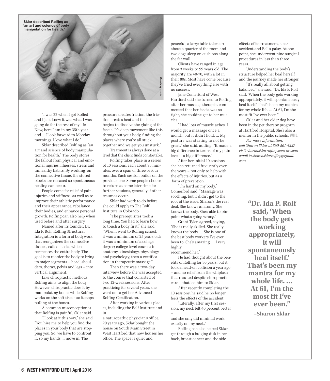

"I was 22 when I got Rolfed and I just knew it was what I was going do for the rest of my life. Now, here I am in my 35th year and … I look forward to Monday mornings. I love what I do."

Sklar described Rolfing as "an art and science of body manipulation for health." The body stores the fallout from physical and emotional injuries, illnesses, stress and unhealthy habits. By working on the connective tissue, the stored blocks are released so spontaneous healing can occur.

People come for relief of pain, injuries and stiffness, as well as to improve their athletic performance and their appearance, rebalance their bodies, and enhance personal growth. Rolfing can also help when used before and after surgery.

Named after its founder, Dr. Ida P. Rolf, Rolfing Structural Integration is a form of bodywork that reorganizes the connective tissues, called fascia, which permeates the entire body. The goal is to reorder the body to bring its major segments – head, shoulders, thorax, pelvis and legs – into vertical alignment.

Like chiropractic methods, Rolfing aims to align the body. However, chiropractic does it by manipulating bones while Rolfing works on the soft tissue so it stops pulling at the bones.

A common misconception is that Rolfing is painful, Sklar said.

"I look at it this way," she said. "You hire me to help you find the places in your body that are stopping you. So, we have to confront it, so my hands … move in. The

pressure creates friction, the friction creates heat and the heat begins to dissolve the gluing of the fascia. It's deep movement like this throughout your body, finding the places where you're all stuck together and we get you unstuck."

Treatment is always done at a level that the client finds comfortable.

Rolfing takes place in a series of 10 sessions, each about 75 minutes, over a span of three or four months. Each session builds on the previous one. Some people choose to return at some later time for further sessions, generally if other traumas occur.

Sklar had work to do before she could apply to The Rolf Institute in Colorado.

"The prerequisites took a long time. You had to learn how to touch a body first," she said. "When I went to Rolfing school, it was a minimum of 25 years old; it was a minimum of a college degree; college-level courses in anatomy, kinesiology, physiology and psychology; then a certification in therapeutic massage."

Then there was a two-day interview before she was accepted to the course that consisted of two 12-week sessions. After practicing for several years, she went on to get her Advanced Rolfing Certification.

After working in various places, including the Rolf Institute and in

a naturopathic physician's office, 20 years ago, Sklar bought the house on South Main Street in West Hartford that now houses her office. The space is quiet and

peaceful; a large table takes up about a quarter of the room and two dogs sleep on cushions along the far wall.

Clients have ranged in age from 3 weeks to 99 years old. The majority are 40-70, with a lot in their 80s. Most have come because they've tried everything else with no success.

Jane Comerford of West Hartford said she turned to Rolfing after her massage therapist commented that her fascia was so tight, she couldn't get to her muscles.

"I had lots of muscle aches. I would get a massage once a month, but it didn't hold. … My posture was starting to not be great," she said, adding, "It made a big difference in terms of my pain level – a big difference."

After her initial 10 sessions, she has returned frequently over the years – not only to help with the effects of injuries, but as a form of prevention.

"I'm hard on my body," Comerford said. "Massage was soothing, but it didn't get to the root of the issue. Sharon's the real deal. She knows anatomy. She knows the body. She's able to pinpoint what's going wrong."

Grant Tyler, agreed, saying, "She is really skilled. She really knows the body. … She is one of the best body workers I've ever been to. She's amazing. … I very highly

recommend her."

He had thought about the benefits of Rolfing for 30 years, but it took a head-on collision a year ago – and no relief from the whiplash that resulted despite chiropractic care – that led him to Sklar.

After recently completing the 10 sessions, he said he no longer feels the effects of the accident.

"Literally, after my first session, my neck felt 40 percent better

– and she only did minimal work exactly on my neck."

Rolfing has also helped Sklar get through a bulging disk in her back, breast cancer and the side

effects of its treatment, a car accident and Bell's palsy. At one point, she underwent nine surgical procedures in less than three years.

Understanding the body's structure helped her heal herself and the journey made her stronger.

"It's really all about getting balanced," she said. "Dr. Ida P. Rolf said, 'When the body gets working appropriately, it will spontaneously heal itself.' That's been my mantra for my whole life. … At 61, I'm the most fit I've ever been."

Sklar and her older dog have been in the pet therapy program at Hartford Hospital. She's also a mentor in the public schools. WHL *For more information,* 

*call Sharon Sklar at 860-561-4337, visit sharonsklarrolfing.com or send email to sharonsklarrolfing@gmail. com.*

> **"Dr. Ida P. Rolf said, 'When the body gets working appropriately, it will spontaneously heal itself.' That's been my mantra for my whole life. … At 61, I'm the most fit I've ever been."**

> > **–Sharon Sklar**